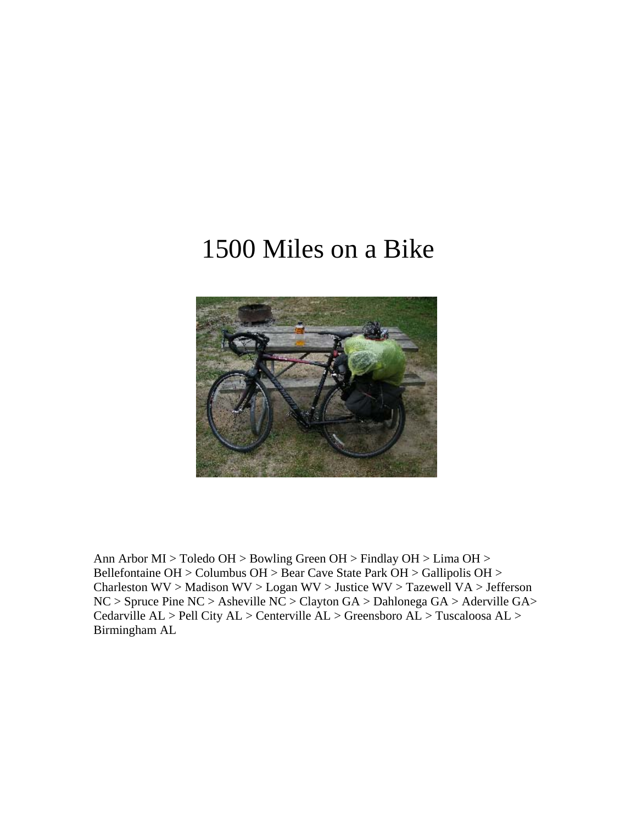## 1500 Miles on a Bike



Ann Arbor MI > Toledo OH > Bowling Green OH > Findlay OH > Lima OH > Bellefontaine OH > Columbus OH > Bear Cave State Park OH > Gallipolis OH > Charleston WV > Madison WV > Logan WV > Justice WV > Tazewell VA > Jefferson NC > Spruce Pine NC > Asheville NC > Clayton GA > Dahlonega GA > Aderville GA> Cedarville AL > Pell City AL > Centerville AL > Greensboro AL > Tuscaloosa AL > Birmingham AL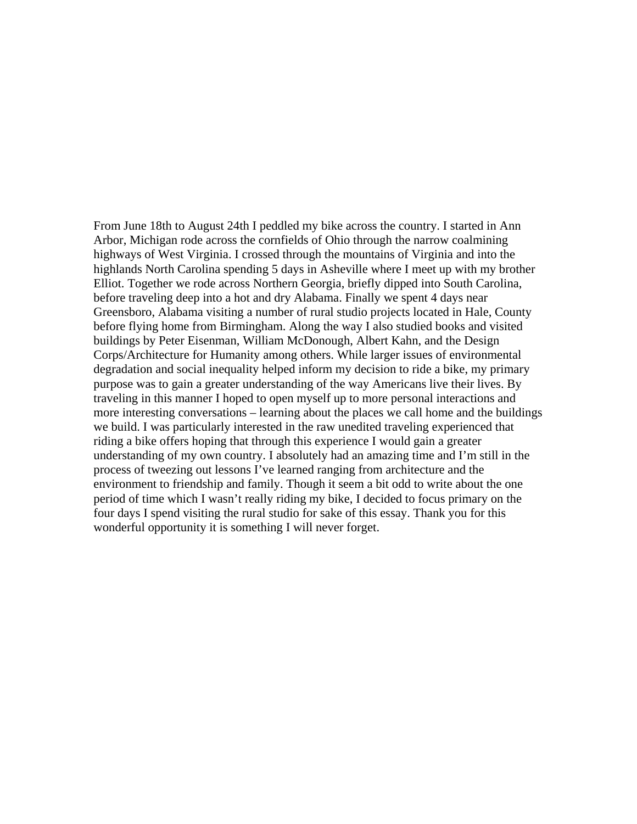From June 18th to August 24th I peddled my bike across the country. I started in Ann Arbor, Michigan rode across the cornfields of Ohio through the narrow coalmining highways of West Virginia. I crossed through the mountains of Virginia and into the highlands North Carolina spending 5 days in Asheville where I meet up with my brother Elliot. Together we rode across Northern Georgia, briefly dipped into South Carolina, before traveling deep into a hot and dry Alabama. Finally we spent 4 days near Greensboro, Alabama visiting a number of rural studio projects located in Hale, County before flying home from Birmingham. Along the way I also studied books and visited buildings by Peter Eisenman, William McDonough, Albert Kahn, and the Design Corps/Architecture for Humanity among others. While larger issues of environmental degradation and social inequality helped inform my decision to ride a bike, my primary purpose was to gain a greater understanding of the way Americans live their lives. By traveling in this manner I hoped to open myself up to more personal interactions and more interesting conversations – learning about the places we call home and the buildings we build. I was particularly interested in the raw unedited traveling experienced that riding a bike offers hoping that through this experience I would gain a greater understanding of my own country. I absolutely had an amazing time and I'm still in the process of tweezing out lessons I've learned ranging from architecture and the environment to friendship and family. Though it seem a bit odd to write about the one period of time which I wasn't really riding my bike, I decided to focus primary on the four days I spend visiting the rural studio for sake of this essay. Thank you for this wonderful opportunity it is something I will never forget.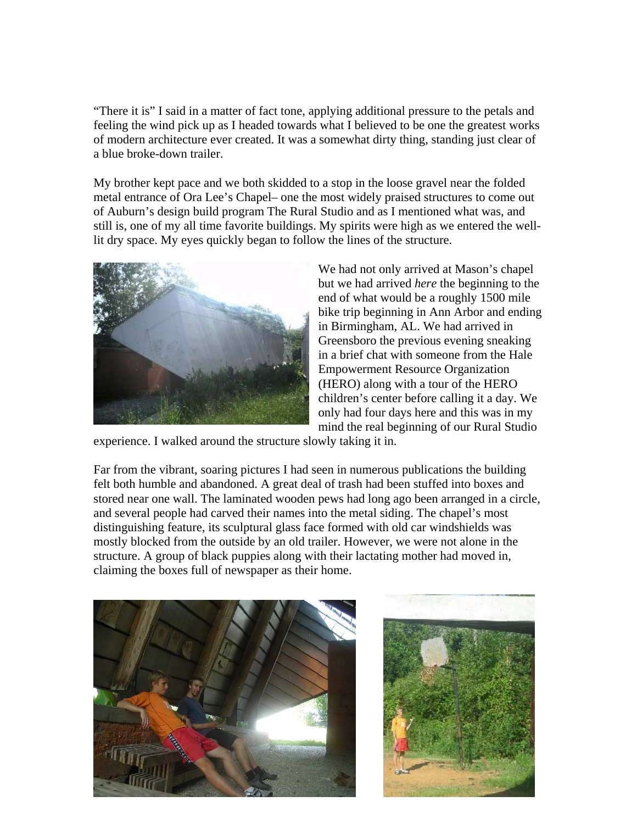"There it is" I said in a matter of fact tone, applying additional pressure to the petals and feeling the wind pick up as I headed towards what I believed to be one the greatest works of modern architecture ever created. It was a somewhat dirty thing, standing just clear of a blue broke-down trailer.

My brother kept pace and we both skidded to a stop in the loose gravel near the folded metal entrance of Ora Lee's Chapel– one the most widely praised structures to come out of Auburn's design build program The Rural Studio and as I mentioned what was, and still is, one of my all time favorite buildings. My spirits were high as we entered the welllit dry space. My eyes quickly began to follow the lines of the structure.



We had not only arrived at Mason's chapel but we had arrived *here* the beginning to the end of what would be a roughly 1500 mile bike trip beginning in Ann Arbor and ending in Birmingham, AL. We had arrived in Greensboro the previous evening sneaking in a brief chat with someone from the Hale Empowerment Resource Organization (HERO) along with a tour of the HERO children's center before calling it a day. We only had four days here and this was in my mind the real beginning of our Rural Studio

experience. I walked around the structure slowly taking it in.

Far from the vibrant, soaring pictures I had seen in numerous publications the building felt both humble and abandoned. A great deal of trash had been stuffed into boxes and stored near one wall. The laminated wooden pews had long ago been arranged in a circle, and several people had carved their names into the metal siding. The chapel's most distinguishing feature, its sculptural glass face formed with old car windshields was mostly blocked from the outside by an old trailer. However, we were not alone in the structure. A group of black puppies along with their lactating mother had moved in, claiming the boxes full of newspaper as their home.



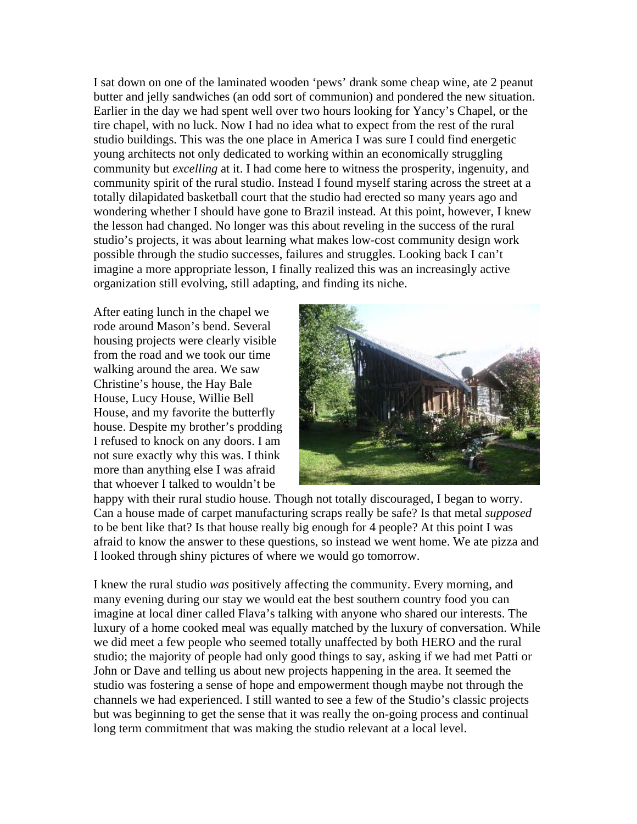I sat down on one of the laminated wooden 'pews' drank some cheap wine, ate 2 peanut butter and jelly sandwiches (an odd sort of communion) and pondered the new situation. Earlier in the day we had spent well over two hours looking for Yancy's Chapel, or the tire chapel, with no luck. Now I had no idea what to expect from the rest of the rural studio buildings. This was the one place in America I was sure I could find energetic young architects not only dedicated to working within an economically struggling community but *excelling* at it. I had come here to witness the prosperity, ingenuity, and community spirit of the rural studio. Instead I found myself staring across the street at a totally dilapidated basketball court that the studio had erected so many years ago and wondering whether I should have gone to Brazil instead. At this point, however, I knew the lesson had changed. No longer was this about reveling in the success of the rural studio's projects, it was about learning what makes low-cost community design work possible through the studio successes, failures and struggles. Looking back I can't imagine a more appropriate lesson, I finally realized this was an increasingly active organization still evolving, still adapting, and finding its niche.

After eating lunch in the chapel we rode around Mason's bend. Several housing projects were clearly visible from the road and we took our time walking around the area. We saw Christine's house, the Hay Bale House, Lucy House, Willie Bell House, and my favorite the butterfly house. Despite my brother's prodding I refused to knock on any doors. I am not sure exactly why this was. I think more than anything else I was afraid that whoever I talked to wouldn't be



happy with their rural studio house. Though not totally discouraged, I began to worry. Can a house made of carpet manufacturing scraps really be safe? Is that metal *supposed* to be bent like that? Is that house really big enough for 4 people? At this point I was afraid to know the answer to these questions, so instead we went home. We ate pizza and I looked through shiny pictures of where we would go tomorrow.

I knew the rural studio *was* positively affecting the community. Every morning, and many evening during our stay we would eat the best southern country food you can imagine at local diner called Flava's talking with anyone who shared our interests. The luxury of a home cooked meal was equally matched by the luxury of conversation. While we did meet a few people who seemed totally unaffected by both HERO and the rural studio; the majority of people had only good things to say, asking if we had met Patti or John or Dave and telling us about new projects happening in the area. It seemed the studio was fostering a sense of hope and empowerment though maybe not through the channels we had experienced. I still wanted to see a few of the Studio's classic projects but was beginning to get the sense that it was really the on-going process and continual long term commitment that was making the studio relevant at a local level.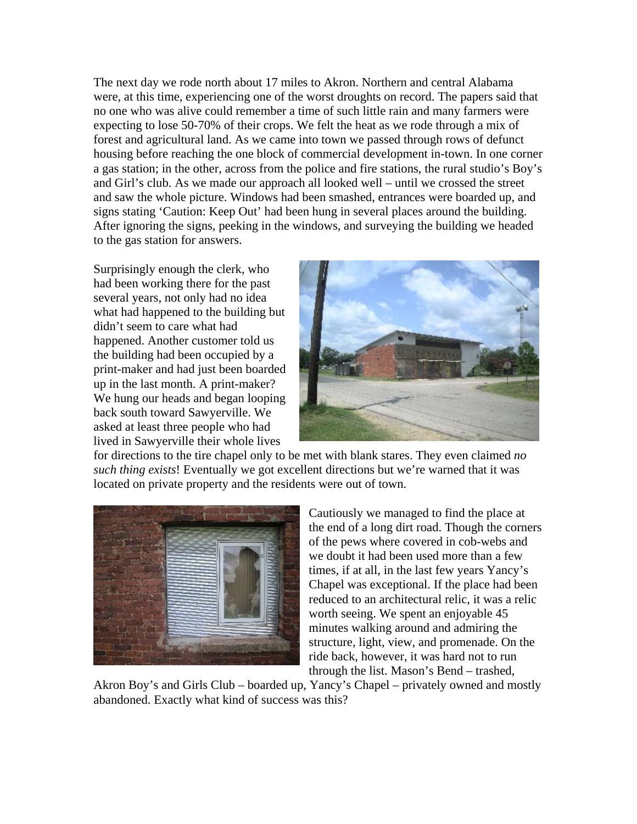The next day we rode north about 17 miles to Akron. Northern and central Alabama were, at this time, experiencing one of the worst droughts on record. The papers said that no one who was alive could remember a time of such little rain and many farmers were expecting to lose 50-70% of their crops. We felt the heat as we rode through a mix of forest and agricultural land. As we came into town we passed through rows of defunct housing before reaching the one block of commercial development in-town. In one corner a gas station; in the other, across from the police and fire stations, the rural studio's Boy's and Girl's club. As we made our approach all looked well – until we crossed the street and saw the whole picture. Windows had been smashed, entrances were boarded up, and signs stating 'Caution: Keep Out' had been hung in several places around the building. After ignoring the signs, peeking in the windows, and surveying the building we headed to the gas station for answers.

Surprisingly enough the clerk, who had been working there for the past several years, not only had no idea what had happened to the building but didn't seem to care what had happened. Another customer told us the building had been occupied by a print-maker and had just been boarded up in the last month. A print-maker? We hung our heads and began looping back south toward Sawyerville. We asked at least three people who had lived in Sawyerville their whole lives



for directions to the tire chapel only to be met with blank stares. They even claimed *no such thing exists*! Eventually we got excellent directions but we're warned that it was located on private property and the residents were out of town.



Cautiously we managed to find the place at the end of a long dirt road. Though the corners of the pews where covered in cob-webs and we doubt it had been used more than a few times, if at all, in the last few years Yancy's Chapel was exceptional. If the place had been reduced to an architectural relic, it was a relic worth seeing. We spent an enjoyable 45 minutes walking around and admiring the structure, light, view, and promenade. On the ride back, however, it was hard not to run through the list. Mason's Bend – trashed,

Akron Boy's and Girls Club – boarded up, Yancy's Chapel – privately owned and mostly abandoned. Exactly what kind of success was this?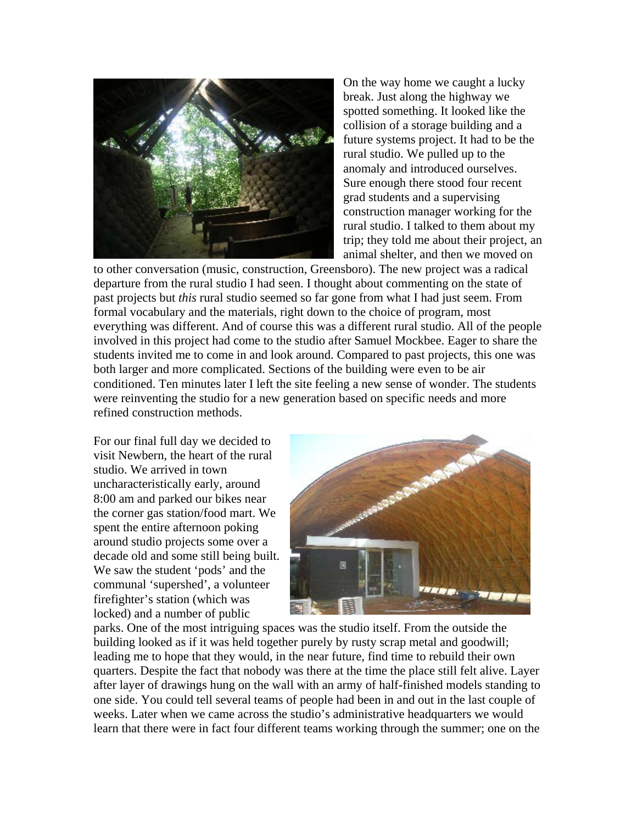

On the way home we caught a lucky break. Just along the highway we spotted something. It looked like the collision of a storage building and a future systems project. It had to be the rural studio. We pulled up to the anomaly and introduced ourselves. Sure enough there stood four recent grad students and a supervising construction manager working for the rural studio. I talked to them about my trip; they told me about their project, an animal shelter, and then we moved on

to other conversation (music, construction, Greensboro). The new project was a radical departure from the rural studio I had seen. I thought about commenting on the state of past projects but *this* rural studio seemed so far gone from what I had just seem. From formal vocabulary and the materials, right down to the choice of program, most everything was different. And of course this was a different rural studio. All of the people involved in this project had come to the studio after Samuel Mockbee. Eager to share the students invited me to come in and look around. Compared to past projects, this one was both larger and more complicated. Sections of the building were even to be air conditioned. Ten minutes later I left the site feeling a new sense of wonder. The students were reinventing the studio for a new generation based on specific needs and more refined construction methods.

For our final full day we decided to visit Newbern, the heart of the rural studio. We arrived in town uncharacteristically early, around 8:00 am and parked our bikes near the corner gas station/food mart. We spent the entire afternoon poking around studio projects some over a decade old and some still being built. We saw the student 'pods' and the communal 'supershed', a volunteer firefighter's station (which was locked) and a number of public



parks. One of the most intriguing spaces was the studio itself. From the outside the building looked as if it was held together purely by rusty scrap metal and goodwill; leading me to hope that they would, in the near future, find time to rebuild their own quarters. Despite the fact that nobody was there at the time the place still felt alive. Layer after layer of drawings hung on the wall with an army of half-finished models standing to one side. You could tell several teams of people had been in and out in the last couple of weeks. Later when we came across the studio's administrative headquarters we would learn that there were in fact four different teams working through the summer; one on the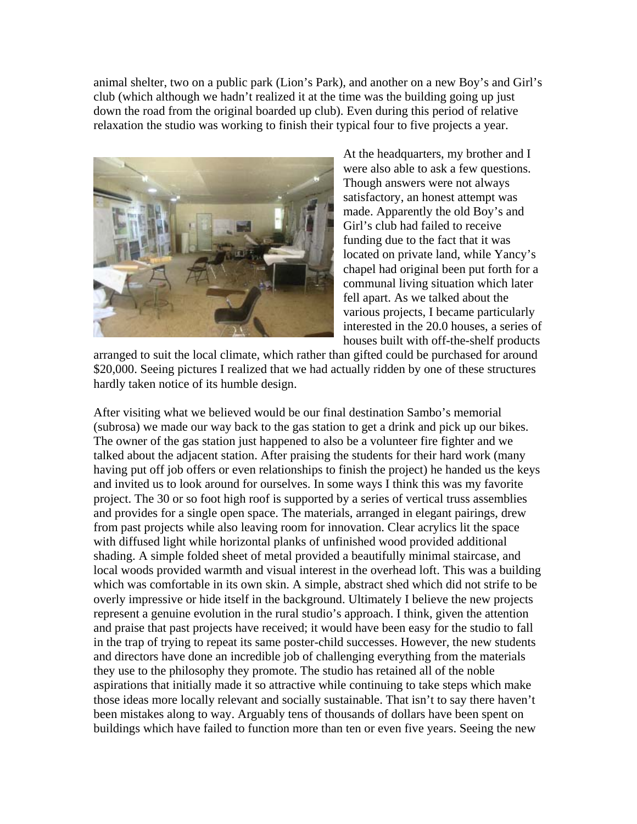animal shelter, two on a public park (Lion's Park), and another on a new Boy's and Girl's club (which although we hadn't realized it at the time was the building going up just down the road from the original boarded up club). Even during this period of relative relaxation the studio was working to finish their typical four to five projects a year.



At the headquarters, my brother and I were also able to ask a few questions. Though answers were not always satisfactory, an honest attempt was made. Apparently the old Boy's and Girl's club had failed to receive funding due to the fact that it was located on private land, while Yancy's chapel had original been put forth for a communal living situation which later fell apart. As we talked about the various projects, I became particularly interested in the 20.0 houses, a series of houses built with off-the-shelf products

arranged to suit the local climate, which rather than gifted could be purchased for around \$20,000. Seeing pictures I realized that we had actually ridden by one of these structures hardly taken notice of its humble design.

After visiting what we believed would be our final destination Sambo's memorial (subrosa) we made our way back to the gas station to get a drink and pick up our bikes. The owner of the gas station just happened to also be a volunteer fire fighter and we talked about the adjacent station. After praising the students for their hard work (many having put off job offers or even relationships to finish the project) he handed us the keys and invited us to look around for ourselves. In some ways I think this was my favorite project. The 30 or so foot high roof is supported by a series of vertical truss assemblies and provides for a single open space. The materials, arranged in elegant pairings, drew from past projects while also leaving room for innovation. Clear acrylics lit the space with diffused light while horizontal planks of unfinished wood provided additional shading. A simple folded sheet of metal provided a beautifully minimal staircase, and local woods provided warmth and visual interest in the overhead loft. This was a building which was comfortable in its own skin. A simple, abstract shed which did not strife to be overly impressive or hide itself in the background. Ultimately I believe the new projects represent a genuine evolution in the rural studio's approach. I think, given the attention and praise that past projects have received; it would have been easy for the studio to fall in the trap of trying to repeat its same poster-child successes. However, the new students and directors have done an incredible job of challenging everything from the materials they use to the philosophy they promote. The studio has retained all of the noble aspirations that initially made it so attractive while continuing to take steps which make those ideas more locally relevant and socially sustainable. That isn't to say there haven't been mistakes along to way. Arguably tens of thousands of dollars have been spent on buildings which have failed to function more than ten or even five years. Seeing the new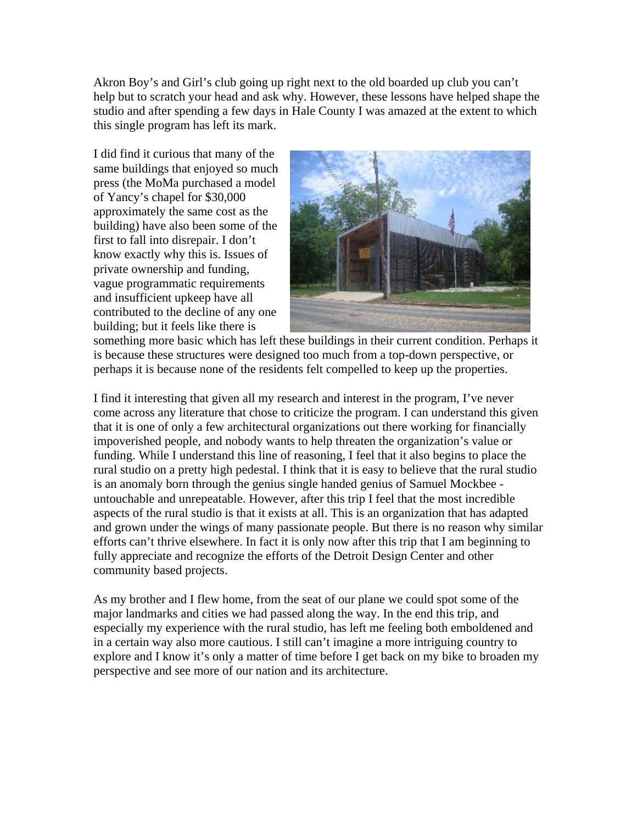Akron Boy's and Girl's club going up right next to the old boarded up club you can't help but to scratch your head and ask why. However, these lessons have helped shape the studio and after spending a few days in Hale County I was amazed at the extent to which this single program has left its mark.

I did find it curious that many of the same buildings that enjoyed so much press (the MoMa purchased a model of Yancy's chapel for \$30,000 approximately the same cost as the building) have also been some of the first to fall into disrepair. I don't know exactly why this is. Issues of private ownership and funding, vague programmatic requirements and insufficient upkeep have all contributed to the decline of any one building; but it feels like there is



something more basic which has left these buildings in their current condition. Perhaps it is because these structures were designed too much from a top-down perspective, or perhaps it is because none of the residents felt compelled to keep up the properties.

I find it interesting that given all my research and interest in the program, I've never come across any literature that chose to criticize the program. I can understand this given that it is one of only a few architectural organizations out there working for financially impoverished people, and nobody wants to help threaten the organization's value or funding. While I understand this line of reasoning, I feel that it also begins to place the rural studio on a pretty high pedestal. I think that it is easy to believe that the rural studio is an anomaly born through the genius single handed genius of Samuel Mockbee untouchable and unrepeatable. However, after this trip I feel that the most incredible aspects of the rural studio is that it exists at all. This is an organization that has adapted and grown under the wings of many passionate people. But there is no reason why similar efforts can't thrive elsewhere. In fact it is only now after this trip that I am beginning to fully appreciate and recognize the efforts of the Detroit Design Center and other community based projects.

As my brother and I flew home, from the seat of our plane we could spot some of the major landmarks and cities we had passed along the way. In the end this trip, and especially my experience with the rural studio, has left me feeling both emboldened and in a certain way also more cautious. I still can't imagine a more intriguing country to explore and I know it's only a matter of time before I get back on my bike to broaden my perspective and see more of our nation and its architecture.